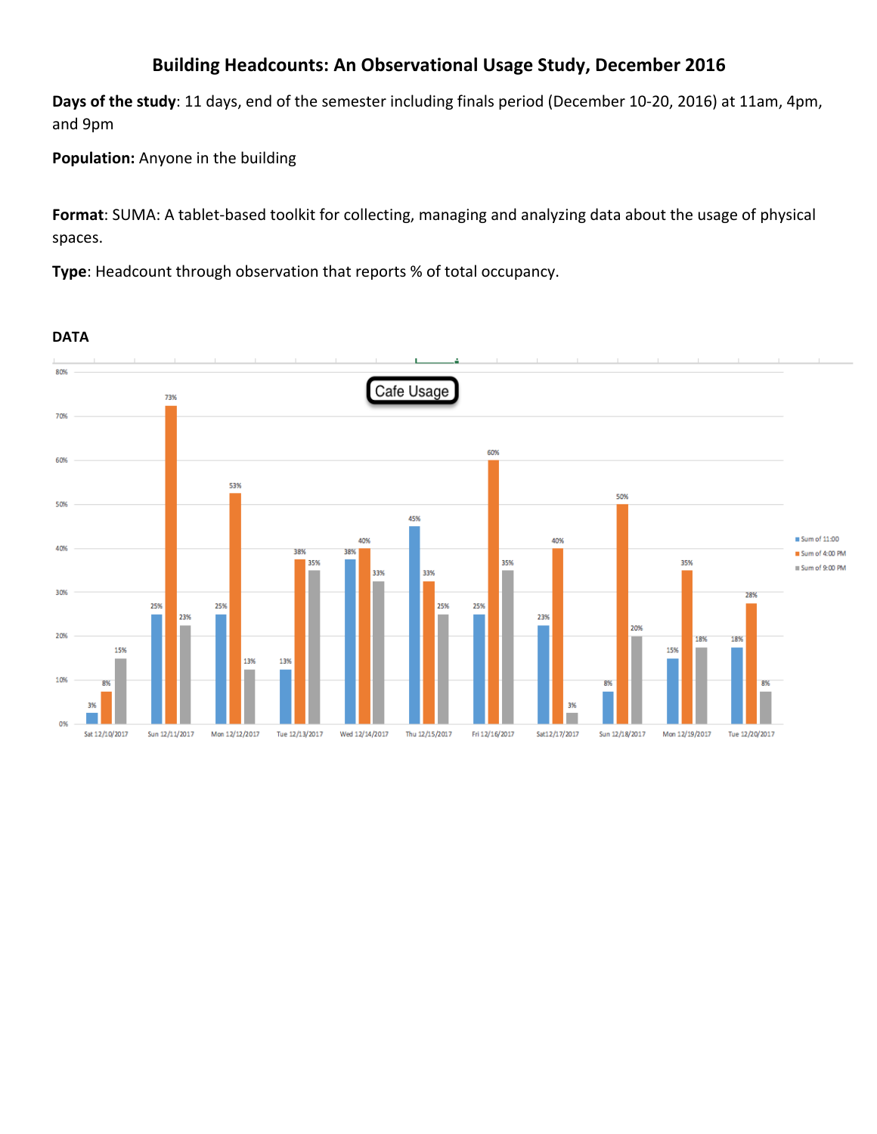# **Building Headcounts: An Observational Usage Study, December 2016**

**Days of the study**: 11 days, end of the semester including finals period (December 10-20, 2016) at 11am, 4pm, and 9pm

**Population:** Anyone in the building

**Format**: SUMA: A tablet-based toolkit for collecting, managing and analyzing data about the usage of physical spaces.

**Type**: Headcount through observation that reports % of total occupancy.

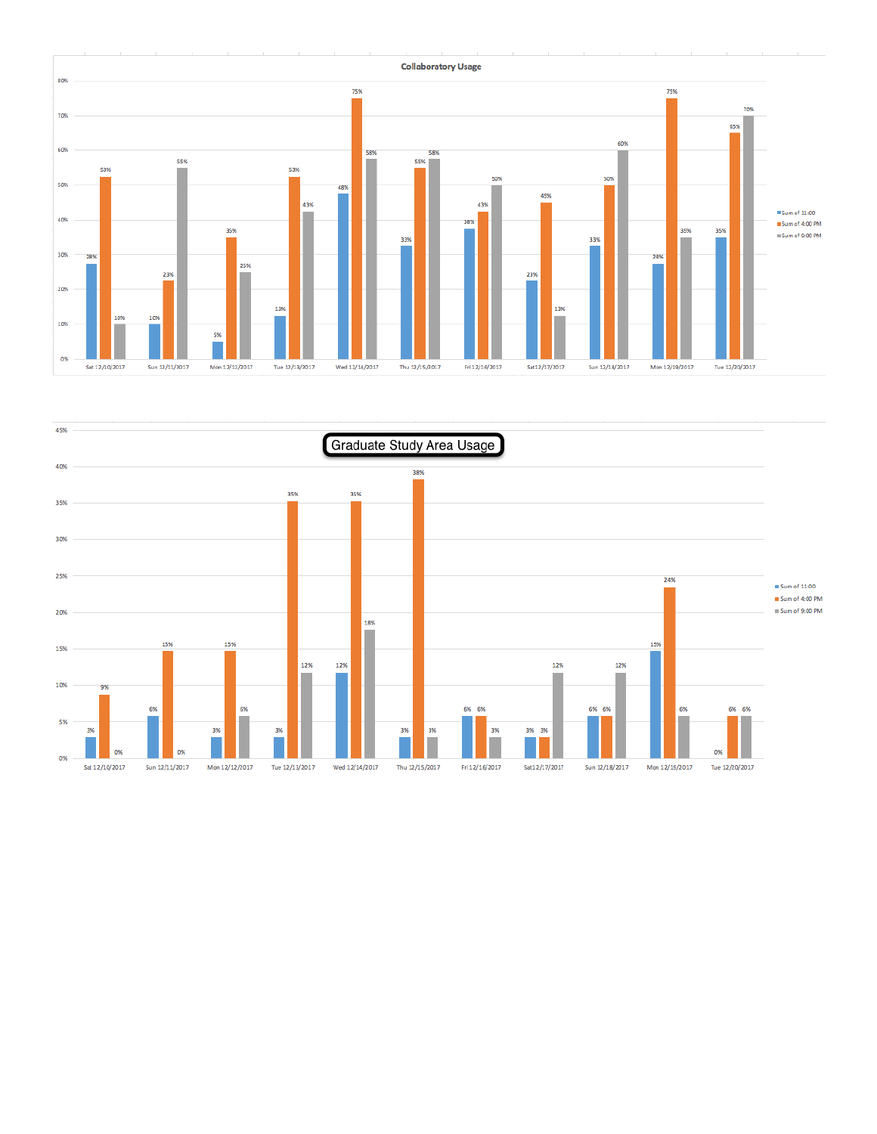

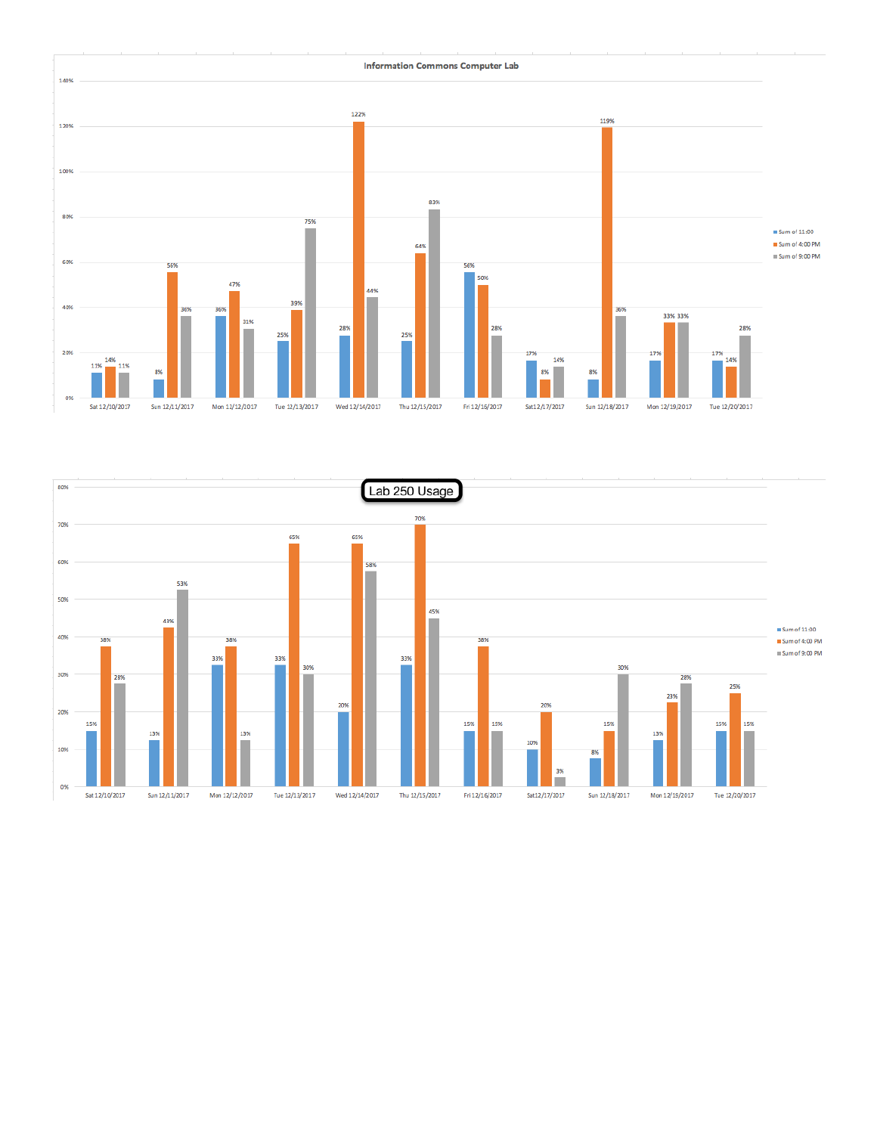

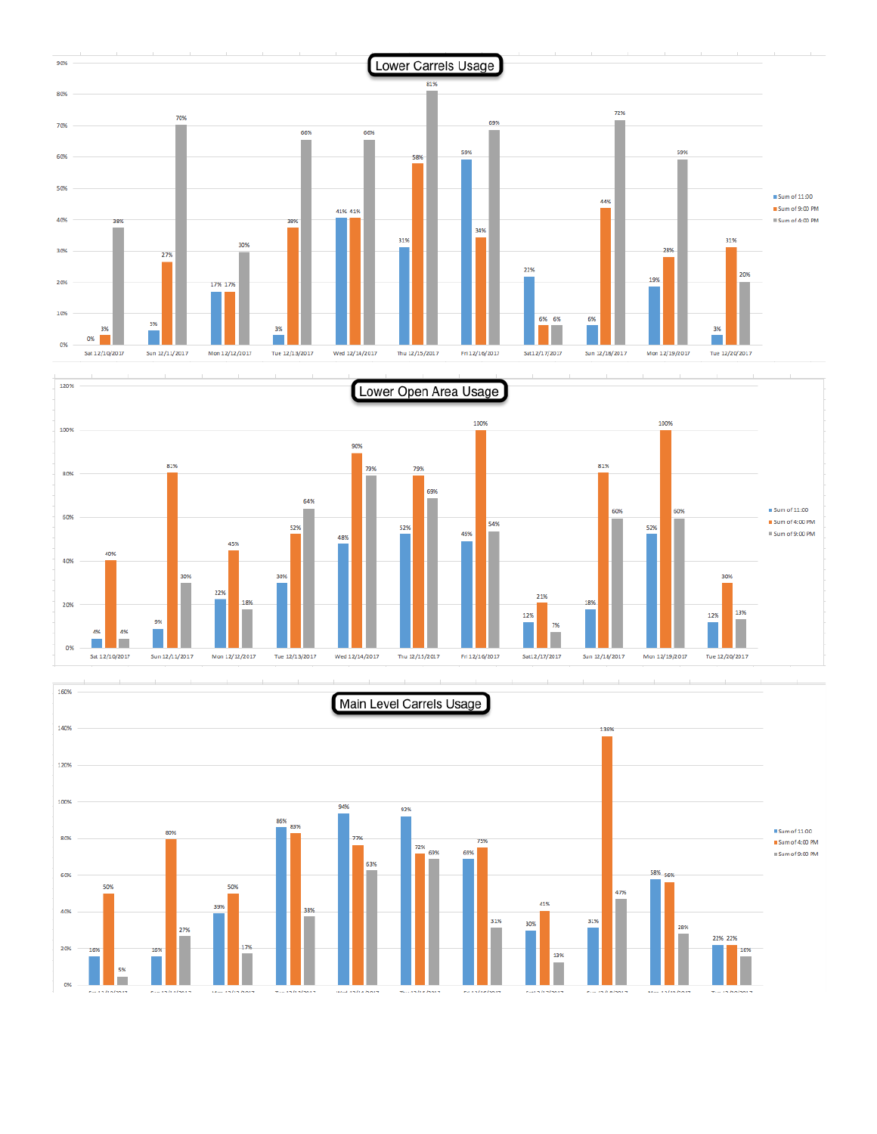



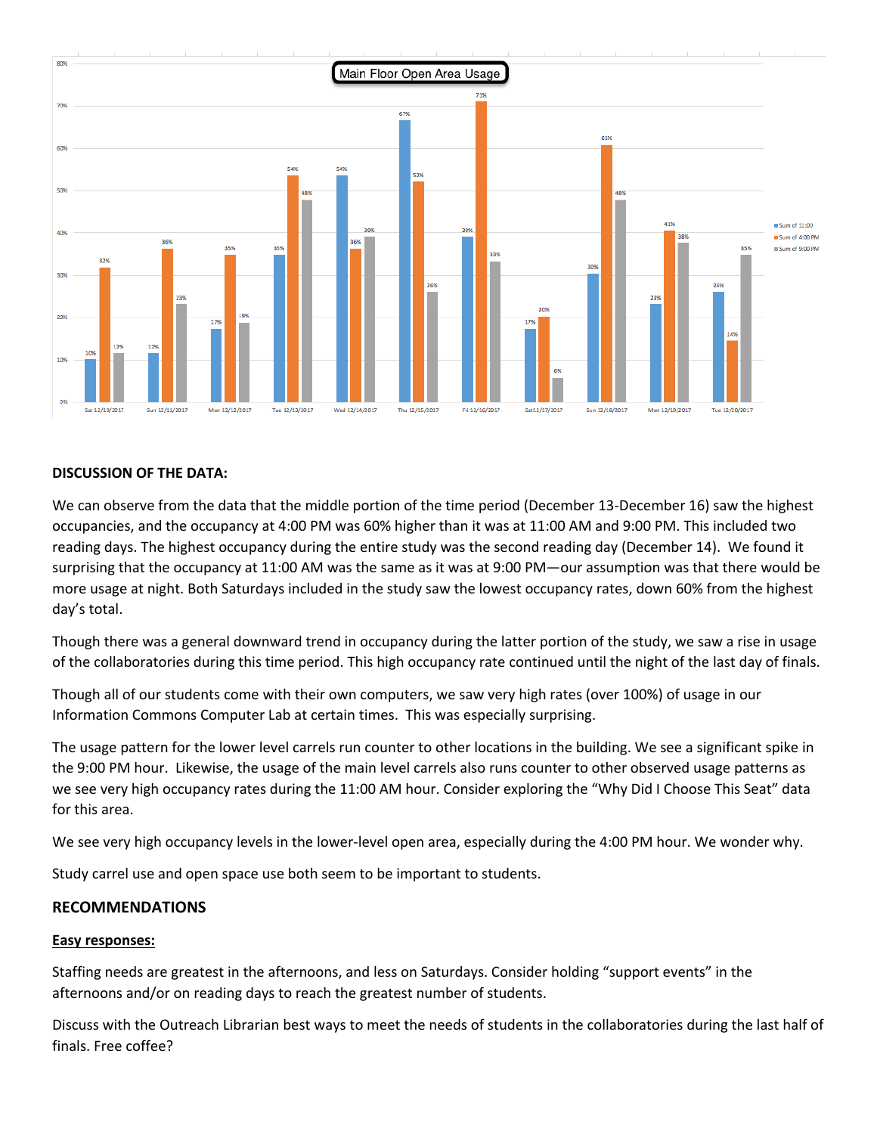

### **DISCUSSION OF THE DATA:**

We can observe from the data that the middle portion of the time period (December 13-December 16) saw the highest occupancies, and the occupancy at 4:00 PM was 60% higher than it was at 11:00 AM and 9:00 PM. This included two reading days. The highest occupancy during the entire study was the second reading day (December 14). We found it surprising that the occupancy at 11:00 AM was the same as it was at 9:00 PM—our assumption was that there would be more usage at night. Both Saturdays included in the study saw the lowest occupancy rates, down 60% from the highest day's total.

Though there was a general downward trend in occupancy during the latter portion of the study, we saw a rise in usage of the collaboratories during this time period. This high occupancy rate continued until the night of the last day of finals.

Though all of our students come with their own computers, we saw very high rates (over 100%) of usage in our Information Commons Computer Lab at certain times. This was especially surprising.

The usage pattern for the lower level carrels run counter to other locations in the building. We see a significant spike in the 9:00 PM hour. Likewise, the usage of the main level carrels also runs counter to other observed usage patterns as we see very high occupancy rates during the 11:00 AM hour. Consider exploring the "Why Did I Choose This Seat" data for this area.

We see very high occupancy levels in the lower-level open area, especially during the 4:00 PM hour. We wonder why.

Study carrel use and open space use both seem to be important to students.

#### **RECOMMENDATIONS**

#### **Easy responses:**

Staffing needs are greatest in the afternoons, and less on Saturdays. Consider holding "support events" in the afternoons and/or on reading days to reach the greatest number of students.

Discuss with the Outreach Librarian best ways to meet the needs of students in the collaboratories during the last half of finals. Free coffee?